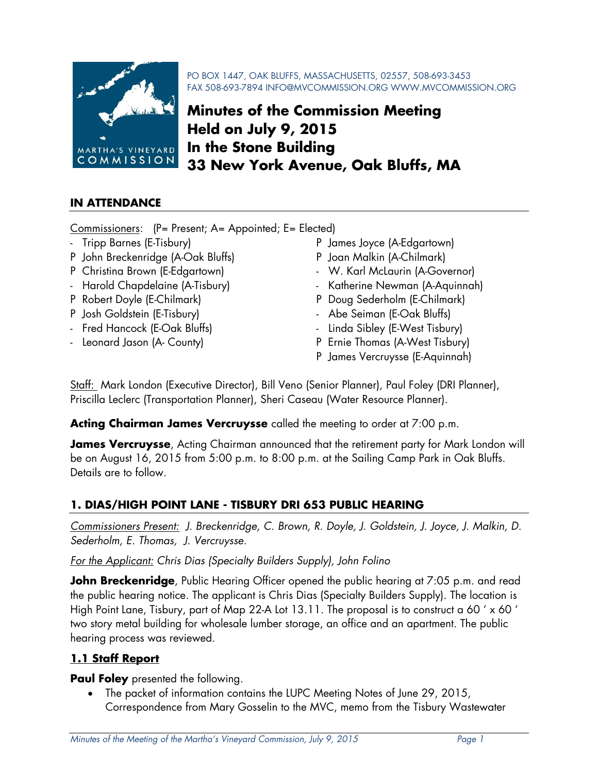

PO BOX 1447, OAK BLUFFS, MASSACHUSETTS, 02557, 508-693-3453 FAX 508-693-7894 INFO@MVCOMMISSION.ORG WWW.MVCOMMISSION.ORG

# **Minutes of the Commission Meeting Held on July 9, 2015 In the Stone Building 33 New York Avenue, Oak Bluffs, MA**

#### **IN ATTENDANCE**

Commissioners: (P= Present; A= Appointed; E= Elected)

- 
- P John Breckenridge (A-Oak Bluffs) P Joan Malkin (A-Chilmark)
- 
- 
- 
- 
- 
- 
- Tripp Barnes (E-Tisbury) P James Joyce (A-Edgartown)
	-
- P Christina Brown (E-Edgartown) W. Karl McLaurin (A-Governor)
- Harold Chapdelaine (A-Tisbury) Katherine Newman (A-Aquinnah)
- P Robert Doyle (E-Chilmark) P Doug Sederholm (E-Chilmark)
- P Josh Goldstein (E-Tisbury) Abe Seiman (E-Oak Bluffs)
- Fred Hancock (E-Oak Bluffs) Linda Sibley (E-West Tisbury)
- Leonard Jason (A- County) **P** Ernie Thomas (A-West Tisbury)
	- P James Vercruysse (E-Aquinnah)

Staff: Mark London (Executive Director), Bill Veno (Senior Planner), Paul Foley (DRI Planner), Priscilla Leclerc (Transportation Planner), Sheri Caseau (Water Resource Planner).

**Acting Chairman James Vercruysse** called the meeting to order at 7:00 p.m.

**James Vercruysse**, Acting Chairman announced that the retirement party for Mark London will be on August 16, 2015 from 5:00 p.m. to 8:00 p.m. at the Sailing Camp Park in Oak Bluffs. Details are to follow.

# **1. DIAS/HIGH POINT LANE - TISBURY DRI 653 PUBLIC HEARING**

*Commissioners Present: J. Breckenridge, C. Brown, R. Doyle, J. Goldstein, J. Joyce, J. Malkin, D. Sederholm, E. Thomas, J. Vercruysse.* 

#### *For the Applicant: Chris Dias (Specialty Builders Supply), John Folino*

**John Breckenridge**, Public Hearing Officer opened the public hearing at 7:05 p.m. and read the public hearing notice. The applicant is Chris Dias (Specialty Builders Supply). The location is High Point Lane, Tisbury, part of Map 22-A Lot 13.11. The proposal is to construct a 60 ' x 60 ' two story metal building for wholesale lumber storage, an office and an apartment. The public hearing process was reviewed.

# **1.1 Staff Report**

**Paul Foley** presented the following.

• The packet of information contains the LUPC Meeting Notes of June 29, 2015, Correspondence from Mary Gosselin to the MVC, memo from the Tisbury Wastewater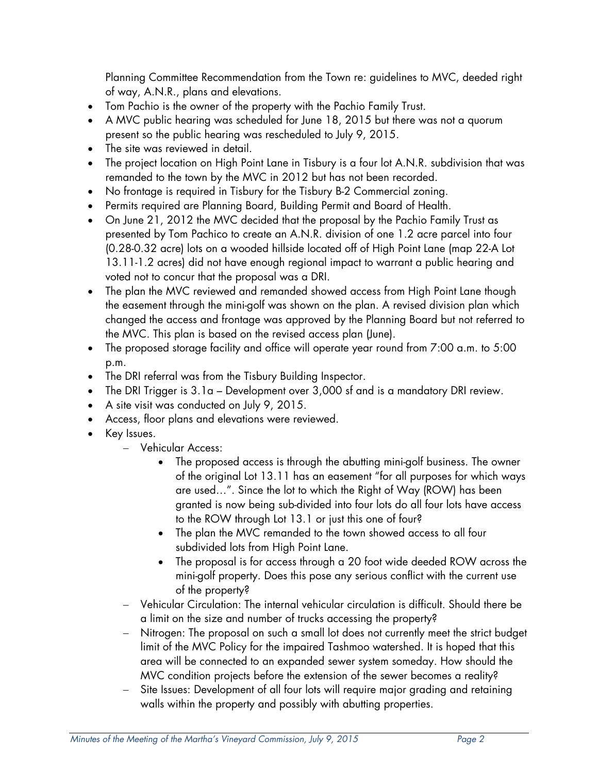Planning Committee Recommendation from the Town re: guidelines to MVC, deeded right of way, A.N.R., plans and elevations.

- Tom Pachio is the owner of the property with the Pachio Family Trust.
- A MVC public hearing was scheduled for June 18, 2015 but there was not a quorum present so the public hearing was rescheduled to July 9, 2015.
- The site was reviewed in detail.
- The project location on High Point Lane in Tisbury is a four lot A.N.R. subdivision that was remanded to the town by the MVC in 2012 but has not been recorded.
- No frontage is required in Tisbury for the Tisbury B-2 Commercial zoning.
- Permits required are Planning Board, Building Permit and Board of Health.
- On June 21, 2012 the MVC decided that the proposal by the Pachio Family Trust as presented by Tom Pachico to create an A.N.R. division of one 1.2 acre parcel into four (0.28-0.32 acre) lots on a wooded hillside located off of High Point Lane (map 22-A Lot 13.11-1.2 acres) did not have enough regional impact to warrant a public hearing and voted not to concur that the proposal was a DRI.
- The plan the MVC reviewed and remanded showed access from High Point Lane though the easement through the mini-golf was shown on the plan. A revised division plan which changed the access and frontage was approved by the Planning Board but not referred to the MVC. This plan is based on the revised access plan (June).
- The proposed storage facility and office will operate year round from 7:00 a.m. to 5:00 p.m.
- The DRI referral was from the Tisbury Building Inspector.
- The DRI Trigger is 3.1a Development over 3,000 sf and is a mandatory DRI review.
- A site visit was conducted on July 9, 2015.
- Access, floor plans and elevations were reviewed.
- Key Issues.
	- Vehicular Access:
		- The proposed access is through the abutting mini-golf business. The owner of the original Lot 13.11 has an easement "for all purposes for which ways are used…". Since the lot to which the Right of Way (ROW) has been granted is now being sub-divided into four lots do all four lots have access to the ROW through Lot 13.1 or just this one of four?
		- The plan the MVC remanded to the town showed access to all four subdivided lots from High Point Lane.
		- The proposal is for access through a 20 foot wide deeded ROW across the mini-golf property. Does this pose any serious conflict with the current use of the property?
	- Vehicular Circulation: The internal vehicular circulation is difficult. Should there be a limit on the size and number of trucks accessing the property?
	- Nitrogen: The proposal on such a small lot does not currently meet the strict budget limit of the MVC Policy for the impaired Tashmoo watershed. It is hoped that this area will be connected to an expanded sewer system someday. How should the MVC condition projects before the extension of the sewer becomes a reality?
	- Site Issues: Development of all four lots will require major grading and retaining walls within the property and possibly with abutting properties.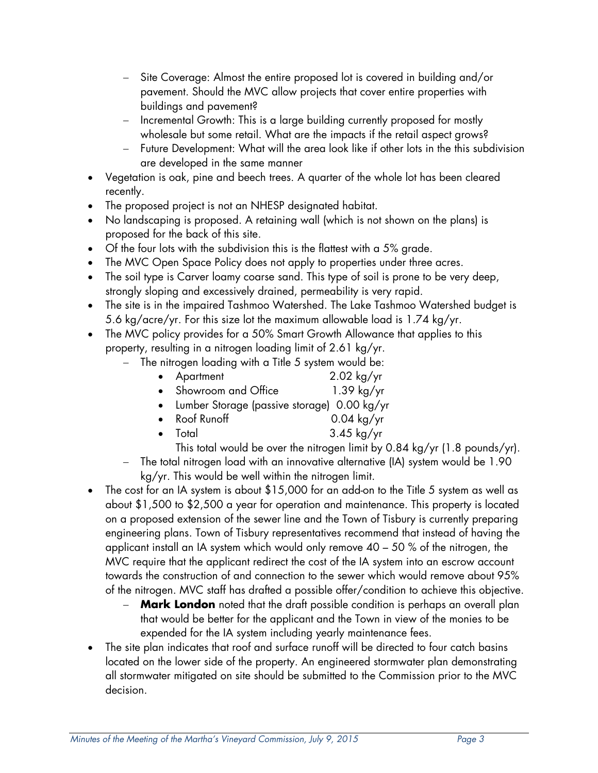- Site Coverage: Almost the entire proposed lot is covered in building and/or pavement. Should the MVC allow projects that cover entire properties with buildings and pavement?
- Incremental Growth: This is a large building currently proposed for mostly wholesale but some retail. What are the impacts if the retail aspect grows?
- Future Development: What will the area look like if other lots in the this subdivision are developed in the same manner
- Vegetation is oak, pine and beech trees. A quarter of the whole lot has been cleared recently.
- The proposed project is not an NHESP designated habitat.
- No landscaping is proposed. A retaining wall (which is not shown on the plans) is proposed for the back of this site.
- Of the four lots with the subdivision this is the flattest with a 5% grade.
- The MVC Open Space Policy does not apply to properties under three acres.
- The soil type is Carver loamy coarse sand. This type of soil is prone to be very deep, strongly sloping and excessively drained, permeability is very rapid.
- The site is in the impaired Tashmoo Watershed. The Lake Tashmoo Watershed budget is 5.6 kg/acre/yr. For this size lot the maximum allowable load is 1.74 kg/yr.
- The MVC policy provides for a 50% Smart Growth Allowance that applies to this property, resulting in a nitrogen loading limit of 2.61 kg/yr.
	- $-$  The nitrogen loading with a Title 5 system would be:
		- Apartment 2.02 kg/yr
		- Showroom and Office 1.39 kg/yr
		- Lumber Storage (passive storage) 0.00 kg/yr
		- Roof Runoff 0.04 kg/yr
		- Total 3.45 kg/yr
		- This total would be over the nitrogen limit by 0.84 kg/yr (1.8 pounds/yr).
	- The total nitrogen load with an innovative alternative (IA) system would be 1.90 kg/yr. This would be well within the nitrogen limit.
- The cost for an IA system is about \$15,000 for an add-on to the Title 5 system as well as about \$1,500 to \$2,500 a year for operation and maintenance. This property is located on a proposed extension of the sewer line and the Town of Tisbury is currently preparing engineering plans. Town of Tisbury representatives recommend that instead of having the applicant install an IA system which would only remove 40 – 50 % of the nitrogen, the MVC require that the applicant redirect the cost of the IA system into an escrow account towards the construction of and connection to the sewer which would remove about 95% of the nitrogen. MVC staff has drafted a possible offer/condition to achieve this objective.
	- **Mark London** noted that the draft possible condition is perhaps an overall plan that would be better for the applicant and the Town in view of the monies to be expended for the IA system including yearly maintenance fees.
- The site plan indicates that roof and surface runoff will be directed to four catch basins located on the lower side of the property. An engineered stormwater plan demonstrating all stormwater mitigated on site should be submitted to the Commission prior to the MVC decision.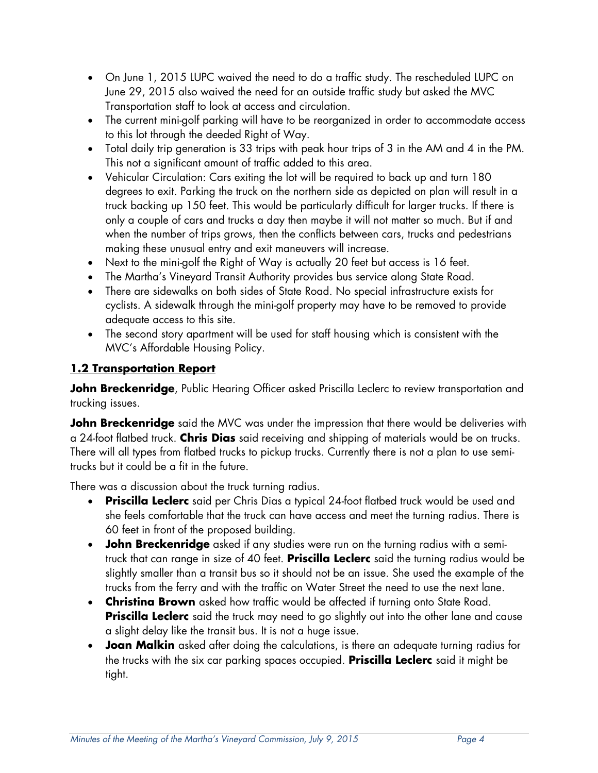- On June 1, 2015 LUPC waived the need to do a traffic study. The rescheduled LUPC on June 29, 2015 also waived the need for an outside traffic study but asked the MVC Transportation staff to look at access and circulation.
- The current mini-golf parking will have to be reorganized in order to accommodate access to this lot through the deeded Right of Way.
- Total daily trip generation is 33 trips with peak hour trips of 3 in the AM and 4 in the PM. This not a significant amount of traffic added to this area.
- Vehicular Circulation: Cars exiting the lot will be required to back up and turn 180 degrees to exit. Parking the truck on the northern side as depicted on plan will result in a truck backing up 150 feet. This would be particularly difficult for larger trucks. If there is only a couple of cars and trucks a day then maybe it will not matter so much. But if and when the number of trips grows, then the conflicts between cars, trucks and pedestrians making these unusual entry and exit maneuvers will increase.
- Next to the mini-golf the Right of Way is actually 20 feet but access is 16 feet.
- The Martha's Vineyard Transit Authority provides bus service along State Road.
- There are sidewalks on both sides of State Road. No special infrastructure exists for cyclists. A sidewalk through the mini-golf property may have to be removed to provide adequate access to this site.
- The second story apartment will be used for staff housing which is consistent with the MVC's Affordable Housing Policy.

# **1.2 Transportation Report**

**John Breckenridge**, Public Hearing Officer asked Priscilla Leclerc to review transportation and trucking issues.

**John Breckenridge** said the MVC was under the impression that there would be deliveries with a 24-foot flatbed truck. **Chris Dias** said receiving and shipping of materials would be on trucks. There will all types from flatbed trucks to pickup trucks. Currently there is not a plan to use semitrucks but it could be a fit in the future.

There was a discussion about the truck turning radius.

- **Priscilla Leclerc** said per Chris Dias a typical 24-foot flatbed truck would be used and she feels comfortable that the truck can have access and meet the turning radius. There is 60 feet in front of the proposed building.
- **John Breckenridge** asked if any studies were run on the turning radius with a semitruck that can range in size of 40 feet. **Priscilla Leclerc** said the turning radius would be slightly smaller than a transit bus so it should not be an issue. She used the example of the trucks from the ferry and with the traffic on Water Street the need to use the next lane.
- **Christina Brown** asked how traffic would be affected if turning onto State Road. **Priscilla Leclerc** said the truck may need to go slightly out into the other lane and cause a slight delay like the transit bus. It is not a huge issue.
- **Joan Malkin** asked after doing the calculations, is there an adequate turning radius for the trucks with the six car parking spaces occupied. **Priscilla Leclerc** said it might be tight.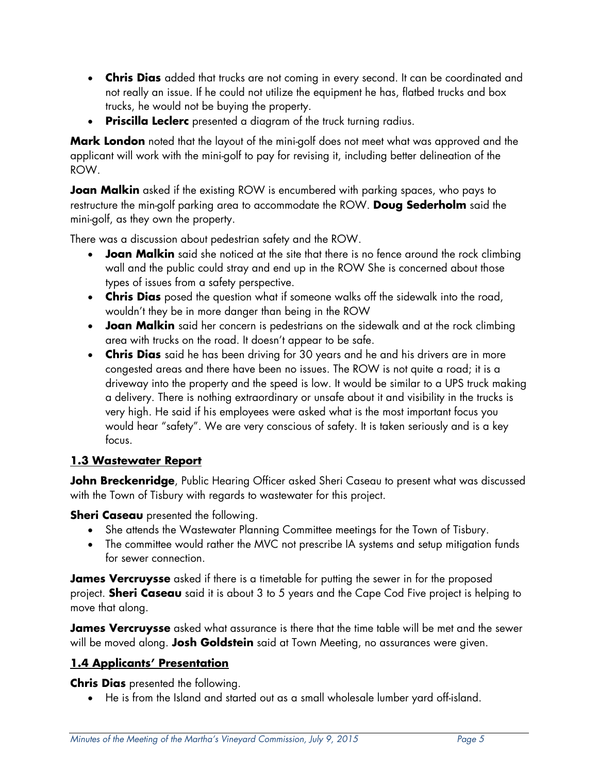- **Chris Dias** added that trucks are not coming in every second. It can be coordinated and not really an issue. If he could not utilize the equipment he has, flatbed trucks and box trucks, he would not be buying the property.
- **Priscilla Leclerc** presented a diagram of the truck turning radius.

**Mark London** noted that the layout of the mini-golf does not meet what was approved and the applicant will work with the mini-golf to pay for revising it, including better delineation of the ROW.

**Joan Malkin** asked if the existing ROW is encumbered with parking spaces, who pays to restructure the min-golf parking area to accommodate the ROW. **Doug Sederholm** said the mini-golf, as they own the property.

There was a discussion about pedestrian safety and the ROW.

- **Joan Malkin** said she noticed at the site that there is no fence around the rock climbing wall and the public could stray and end up in the ROW She is concerned about those types of issues from a safety perspective.
- **Chris Dias** posed the question what if someone walks off the sidewalk into the road, wouldn't they be in more danger than being in the ROW
- **Joan Malkin** said her concern is pedestrians on the sidewalk and at the rock climbing area with trucks on the road. It doesn't appear to be safe.
- **Chris Dias** said he has been driving for 30 years and he and his drivers are in more congested areas and there have been no issues. The ROW is not quite a road; it is a driveway into the property and the speed is low. It would be similar to a UPS truck making a delivery. There is nothing extraordinary or unsafe about it and visibility in the trucks is very high. He said if his employees were asked what is the most important focus you would hear "safety". We are very conscious of safety. It is taken seriously and is a key focus.

# **1.3 Wastewater Report**

**John Breckenridge**, Public Hearing Officer asked Sheri Caseau to present what was discussed with the Town of Tisbury with regards to wastewater for this project.

**Sheri Caseau** presented the following.

- She attends the Wastewater Planning Committee meetings for the Town of Tisbury.
- The committee would rather the MVC not prescribe IA systems and setup mitigation funds for sewer connection.

**James Vercruysse** asked if there is a timetable for putting the sewer in for the proposed project. **Sheri Caseau** said it is about 3 to 5 years and the Cape Cod Five project is helping to move that along.

**James Vercruysse** asked what assurance is there that the time table will be met and the sewer will be moved along. **Josh Goldstein** said at Town Meeting, no assurances were given.

# **1.4 Applicants' Presentation**

**Chris Dias** presented the following.

He is from the Island and started out as a small wholesale lumber yard off-island.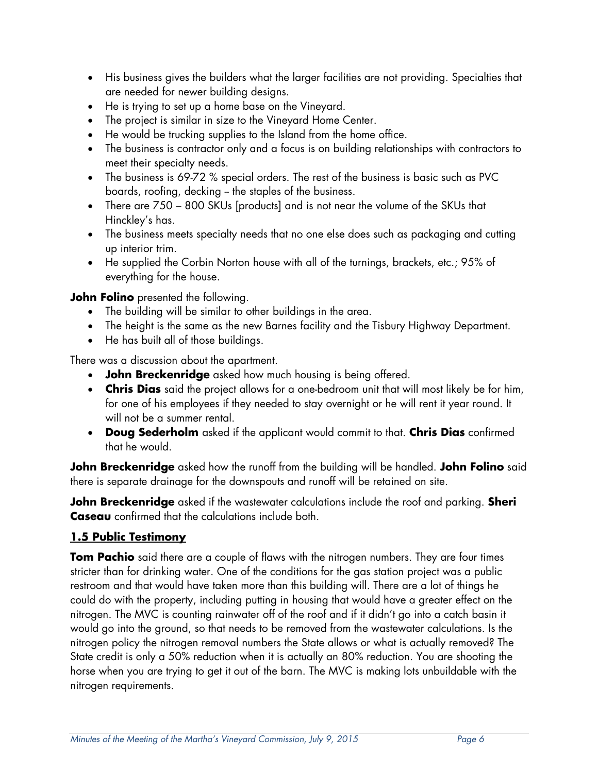- His business gives the builders what the larger facilities are not providing. Specialties that are needed for newer building designs.
- He is trying to set up a home base on the Vineyard.
- The project is similar in size to the Vineyard Home Center.
- He would be trucking supplies to the Island from the home office.
- The business is contractor only and a focus is on building relationships with contractors to meet their specialty needs.
- The business is 69-72 % special orders. The rest of the business is basic such as PVC boards, roofing, decking – the staples of the business.
- There are 750 800 SKUs [products] and is not near the volume of the SKUs that Hinckley's has.
- The business meets specialty needs that no one else does such as packaging and cutting up interior trim.
- He supplied the Corbin Norton house with all of the turnings, brackets, etc.; 95% of everything for the house.

**John Folino** presented the following.

- The building will be similar to other buildings in the area.
- The height is the same as the new Barnes facility and the Tisbury Highway Department.
- He has built all of those buildings.

There was a discussion about the apartment.

- **John Breckenridge** asked how much housing is being offered.
- **Chris Dias** said the project allows for a one-bedroom unit that will most likely be for him, for one of his employees if they needed to stay overnight or he will rent it year round. It will not be a summer rental.
- **Doug Sederholm** asked if the applicant would commit to that. **Chris Dias** confirmed that he would.

**John Breckenridge** asked how the runoff from the building will be handled. **John Folino** said there is separate drainage for the downspouts and runoff will be retained on site.

**John Breckenridge** asked if the wastewater calculations include the roof and parking. **Sheri Caseau** confirmed that the calculations include both.

# **1.5 Public Testimony**

**Tom Pachio** said there are a couple of flaws with the nitrogen numbers. They are four times stricter than for drinking water. One of the conditions for the gas station project was a public restroom and that would have taken more than this building will. There are a lot of things he could do with the property, including putting in housing that would have a greater effect on the nitrogen. The MVC is counting rainwater off of the roof and if it didn't go into a catch basin it would go into the ground, so that needs to be removed from the wastewater calculations. Is the nitrogen policy the nitrogen removal numbers the State allows or what is actually removed? The State credit is only a 50% reduction when it is actually an 80% reduction. You are shooting the horse when you are trying to get it out of the barn. The MVC is making lots unbuildable with the nitrogen requirements.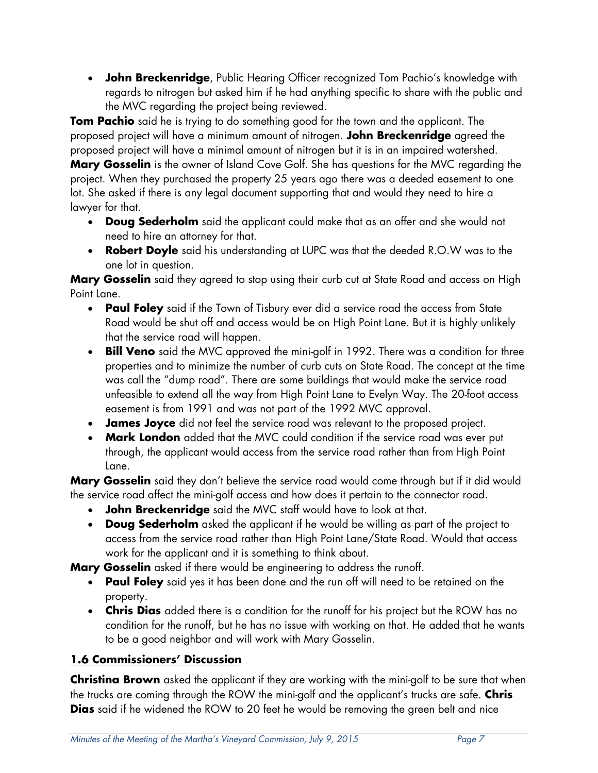**John Breckenridge**, Public Hearing Officer recognized Tom Pachio's knowledge with regards to nitrogen but asked him if he had anything specific to share with the public and the MVC regarding the project being reviewed.

**Tom Pachio** said he is trying to do something good for the town and the applicant. The proposed project will have a minimum amount of nitrogen. **John Breckenridge** agreed the proposed project will have a minimal amount of nitrogen but it is in an impaired watershed.

**Mary Gosselin** is the owner of Island Cove Golf. She has questions for the MVC regarding the project. When they purchased the property 25 years ago there was a deeded easement to one lot. She asked if there is any legal document supporting that and would they need to hire a lawyer for that.

- **Doug Sederholm** said the applicant could make that as an offer and she would not need to hire an attorney for that.
- **Robert Doyle** said his understanding at LUPC was that the deeded R.O.W was to the one lot in question.

**Mary Gosselin** said they agreed to stop using their curb cut at State Road and access on High Point Lane.

- **Paul Foley** said if the Town of Tisbury ever did a service road the access from State Road would be shut off and access would be on High Point Lane. But it is highly unlikely that the service road will happen.
- **Bill Veno** said the MVC approved the mini-golf in 1992. There was a condition for three properties and to minimize the number of curb cuts on State Road. The concept at the time was call the "dump road". There are some buildings that would make the service road unfeasible to extend all the way from High Point Lane to Evelyn Way. The 20-foot access easement is from 1991 and was not part of the 1992 MVC approval.
- **James Joyce** did not feel the service road was relevant to the proposed project.
- **Mark London** added that the MVC could condition if the service road was ever put through, the applicant would access from the service road rather than from High Point Lane.

**Mary Gosselin** said they don't believe the service road would come through but if it did would the service road affect the mini-golf access and how does it pertain to the connector road.

- **John Breckenridge** said the MVC staff would have to look at that.
- **Doug Sederholm** asked the applicant if he would be willing as part of the project to access from the service road rather than High Point Lane/State Road. Would that access work for the applicant and it is something to think about.

**Mary Gosselin** asked if there would be engineering to address the runoff.

- **Paul Foley** said yes it has been done and the run off will need to be retained on the property.
- **Chris Dias** added there is a condition for the runoff for his project but the ROW has no condition for the runoff, but he has no issue with working on that. He added that he wants to be a good neighbor and will work with Mary Gosselin.

# **1.6 Commissioners' Discussion**

**Christina Brown** asked the applicant if they are working with the mini-golf to be sure that when the trucks are coming through the ROW the mini-golf and the applicant's trucks are safe. **Chris Dias** said if he widened the ROW to 20 feet he would be removing the green belt and nice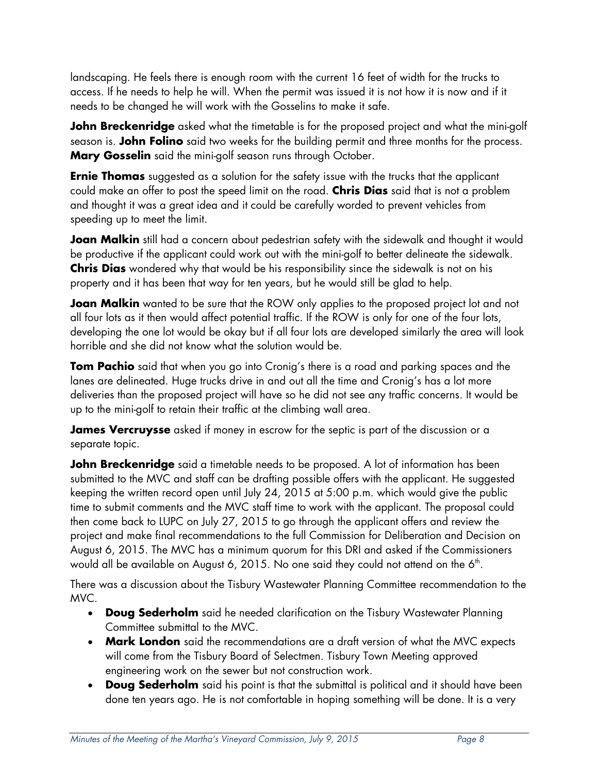landscaping. He feels there is enough room with the current 16 feet of width for the trucks to access. If he needs to help he will. When the permit was issued it is not how it is now and if it needs to be changed he will work with the Gosselins to make it safe.

**John Breckenridge** asked what the timetable is for the proposed project and what the mini-golf season is. **John Folino** said two weeks for the building permit and three months for the process. **Mary Gosselin** said the mini-golf season runs through October.

**Ernie Thomas** suggested as a solution for the safety issue with the trucks that the applicant could make an offer to post the speed limit on the road. **Chris Dias** said that is not a problem and thought it was a great idea and it could be carefully worded to prevent vehicles from speeding up to meet the limit.

**Joan Malkin** still had a concern about pedestrian safety with the sidewalk and thought it would be productive if the applicant could work out with the mini-golf to better delineate the sidewalk. **Chris Dias** wondered why that would be his responsibility since the sidewalk is not on his property and it has been that way for ten years, but he would still be glad to help.

**Joan Malkin** wanted to be sure that the ROW only applies to the proposed project lot and not all four lots as it then would affect potential traffic. If the ROW is only for one of the four lots, developing the one lot would be okay but if all four lots are developed similarly the area will look horrible and she did not know what the solution would be.

**Tom Pachio** said that when you go into Cronig's there is a road and parking spaces and the lanes are delineated. Huge trucks drive in and out all the time and Cronig's has a lot more deliveries than the proposed project will have so he did not see any traffic concerns. It would be up to the mini-golf to retain their traffic at the climbing wall area.

**James Vercruysse** asked if money in escrow for the septic is part of the discussion or a separate topic.

**John Breckenridge** said a timetable needs to be proposed. A lot of information has been submitted to the MVC and staff can be drafting possible offers with the applicant. He suggested keeping the written record open until July 24, 2015 at 5:00 p.m. which would give the public time to submit comments and the MVC staff time to work with the applicant. The proposal could then come back to LUPC on July 27, 2015 to go through the applicant offers and review the project and make final recommendations to the full Commission for Deliberation and Decision on August 6, 2015. The MVC has a minimum quorum for this DRI and asked if the Commissioners would all be available on August 6, 2015. No one said they could not attend on the 6<sup>th</sup>.

There was a discussion about the Tisbury Wastewater Planning Committee recommendation to the MVC.

- **Doug Sederholm** said he needed clarification on the Tisbury Wastewater Planning Committee submittal to the MVC.
- **Mark London** said the recommendations are a draft version of what the MVC expects will come from the Tisbury Board of Selectmen. Tisbury Town Meeting approved engineering work on the sewer but not construction work.
- **Doug Sederholm** said his point is that the submittal is political and it should have been done ten years ago. He is not comfortable in hoping something will be done. It is a very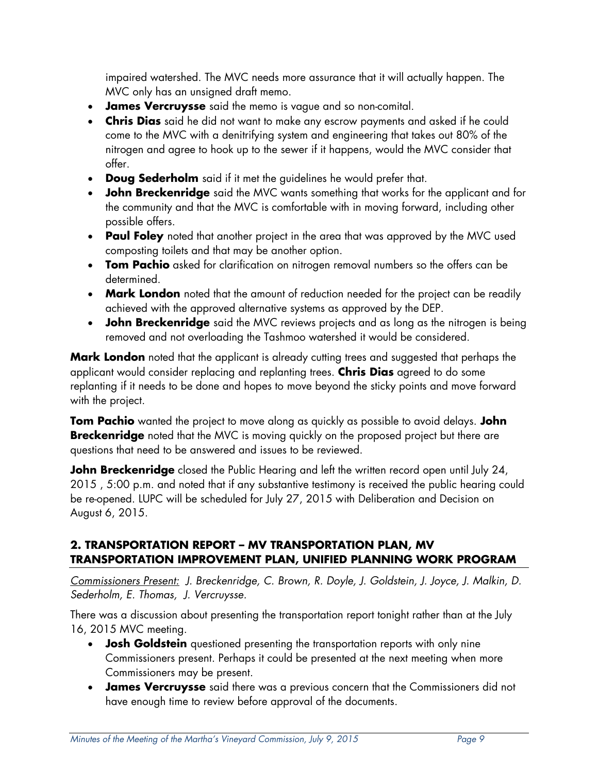impaired watershed. The MVC needs more assurance that it will actually happen. The MVC only has an unsigned draft memo.

- **James Vercruysse** said the memo is vague and so non-comital.
- **Chris Dias** said he did not want to make any escrow payments and asked if he could come to the MVC with a denitrifying system and engineering that takes out 80% of the nitrogen and agree to hook up to the sewer if it happens, would the MVC consider that offer.
- **Doug Sederholm** said if it met the guidelines he would prefer that.
- **John Breckenridge** said the MVC wants something that works for the applicant and for the community and that the MVC is comfortable with in moving forward, including other possible offers.
- **Paul Foley** noted that another project in the area that was approved by the MVC used composting toilets and that may be another option.
- **Tom Pachio** asked for clarification on nitrogen removal numbers so the offers can be determined.
- **Mark London** noted that the amount of reduction needed for the project can be readily achieved with the approved alternative systems as approved by the DEP.
- **John Breckenridge** said the MVC reviews projects and as long as the nitrogen is being removed and not overloading the Tashmoo watershed it would be considered.

**Mark London** noted that the applicant is already cutting trees and suggested that perhaps the applicant would consider replacing and replanting trees. **Chris Dias** agreed to do some replanting if it needs to be done and hopes to move beyond the sticky points and move forward with the project.

**Tom Pachio** wanted the project to move along as quickly as possible to avoid delays. **John Breckenridge** noted that the MVC is moving quickly on the proposed project but there are questions that need to be answered and issues to be reviewed.

**John Breckenridge** closed the Public Hearing and left the written record open until July 24, 2015 , 5:00 p.m. and noted that if any substantive testimony is received the public hearing could be re-opened. LUPC will be scheduled for July 27, 2015 with Deliberation and Decision on August 6, 2015.

### **2. TRANSPORTATION REPORT – MV TRANSPORTATION PLAN, MV TRANSPORTATION IMPROVEMENT PLAN, UNIFIED PLANNING WORK PROGRAM**

*Commissioners Present: J. Breckenridge, C. Brown, R. Doyle, J. Goldstein, J. Joyce, J. Malkin, D. Sederholm, E. Thomas, J. Vercruysse.* 

There was a discussion about presenting the transportation report tonight rather than at the July 16, 2015 MVC meeting.

- **Josh Goldstein** questioned presenting the transportation reports with only nine Commissioners present. Perhaps it could be presented at the next meeting when more Commissioners may be present.
- **James Vercruysse** said there was a previous concern that the Commissioners did not have enough time to review before approval of the documents.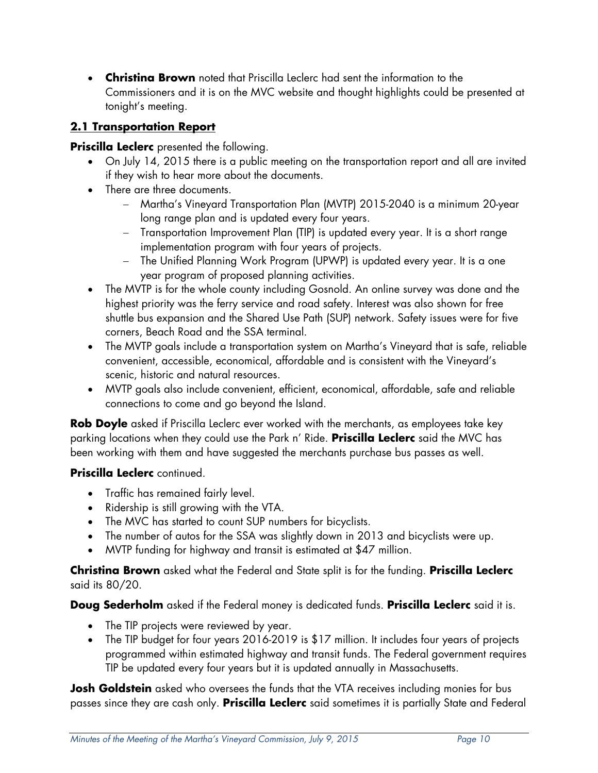**Christina Brown** noted that Priscilla Leclerc had sent the information to the Commissioners and it is on the MVC website and thought highlights could be presented at tonight's meeting.

# **2.1 Transportation Report**

### **Priscilla Leclerc** presented the following.

- On July 14, 2015 there is a public meeting on the transportation report and all are invited if they wish to hear more about the documents.
- There are three documents.
	- Martha's Vineyard Transportation Plan (MVTP) 2015-2040 is a minimum 20-year long range plan and is updated every four years.
	- Transportation Improvement Plan (TIP) is updated every year. It is a short range implementation program with four years of projects.
	- The Unified Planning Work Program (UPWP) is updated every year. It is a one year program of proposed planning activities.
- The MVTP is for the whole county including Gosnold. An online survey was done and the highest priority was the ferry service and road safety. Interest was also shown for free shuttle bus expansion and the Shared Use Path (SUP) network. Safety issues were for five corners, Beach Road and the SSA terminal.
- The MVTP goals include a transportation system on Martha's Vineyard that is safe, reliable convenient, accessible, economical, affordable and is consistent with the Vineyard's scenic, historic and natural resources.
- MVTP goals also include convenient, efficient, economical, affordable, safe and reliable connections to come and go beyond the Island.

**Rob Doyle** asked if Priscilla Leclerc ever worked with the merchants, as employees take key parking locations when they could use the Park n' Ride. **Priscilla Leclerc** said the MVC has been working with them and have suggested the merchants purchase bus passes as well.

### **Priscilla Leclerc** continued.

- Traffic has remained fairly level.
- Ridership is still growing with the VTA.
- The MVC has started to count SUP numbers for bicyclists.
- The number of autos for the SSA was slightly down in 2013 and bicyclists were up.
- MVTP funding for highway and transit is estimated at \$47 million.

**Christina Brown** asked what the Federal and State split is for the funding. **Priscilla Leclerc** said its 80/20.

**Doug Sederholm** asked if the Federal money is dedicated funds. **Priscilla Leclerc** said it is.

- The TIP projects were reviewed by year.
- The TIP budget for four years 2016-2019 is \$17 million. It includes four years of projects programmed within estimated highway and transit funds. The Federal government requires TIP be updated every four years but it is updated annually in Massachusetts.

**Josh Goldstein** asked who oversees the funds that the VTA receives including monies for bus passes since they are cash only. **Priscilla Leclerc** said sometimes it is partially State and Federal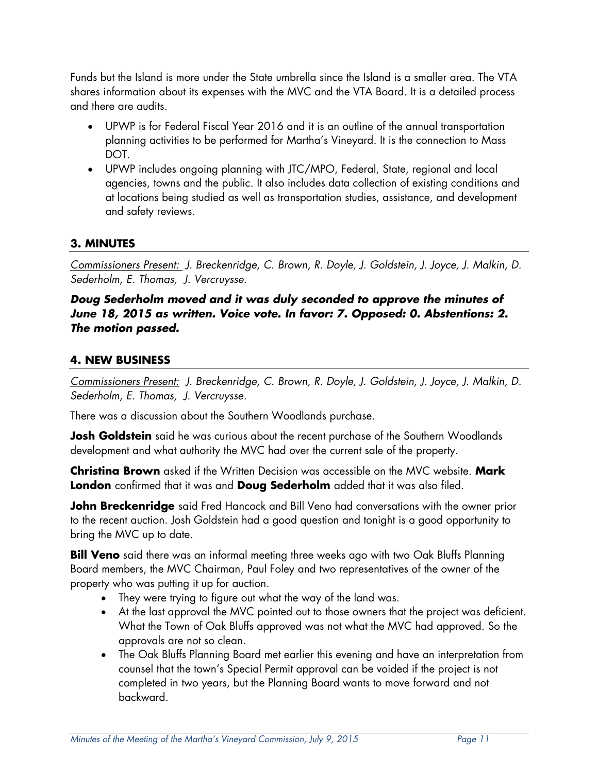Funds but the Island is more under the State umbrella since the Island is a smaller area. The VTA shares information about its expenses with the MVC and the VTA Board. It is a detailed process and there are audits.

- UPWP is for Federal Fiscal Year 2016 and it is an outline of the annual transportation planning activities to be performed for Martha's Vineyard. It is the connection to Mass DOT.
- UPWP includes ongoing planning with JTC/MPO, Federal, State, regional and local agencies, towns and the public. It also includes data collection of existing conditions and at locations being studied as well as transportation studies, assistance, and development and safety reviews.

# **3. MINUTES**

*Commissioners Present: J. Breckenridge, C. Brown, R. Doyle, J. Goldstein, J. Joyce, J. Malkin, D. Sederholm, E. Thomas, J. Vercruysse.*

#### *Doug Sederholm moved and it was duly seconded to approve the minutes of June 18, 2015 as written. Voice vote. In favor: 7. Opposed: 0. Abstentions: 2. The motion passed.*

### **4. NEW BUSINESS**

*Commissioners Present: J. Breckenridge, C. Brown, R. Doyle, J. Goldstein, J. Joyce, J. Malkin, D. Sederholm, E. Thomas, J. Vercruysse.* 

There was a discussion about the Southern Woodlands purchase.

**Josh Goldstein** said he was curious about the recent purchase of the Southern Woodlands development and what authority the MVC had over the current sale of the property.

**Christina Brown** asked if the Written Decision was accessible on the MVC website. **Mark London** confirmed that it was and **Doug Sederholm** added that it was also filed.

**John Breckenridge** said Fred Hancock and Bill Veno had conversations with the owner prior to the recent auction. Josh Goldstein had a good question and tonight is a good opportunity to bring the MVC up to date.

**Bill Veno** said there was an informal meeting three weeks ago with two Oak Bluffs Planning Board members, the MVC Chairman, Paul Foley and two representatives of the owner of the property who was putting it up for auction.

- They were trying to figure out what the way of the land was.
- At the last approval the MVC pointed out to those owners that the project was deficient. What the Town of Oak Bluffs approved was not what the MVC had approved. So the approvals are not so clean.
- The Oak Bluffs Planning Board met earlier this evening and have an interpretation from counsel that the town's Special Permit approval can be voided if the project is not completed in two years, but the Planning Board wants to move forward and not backward.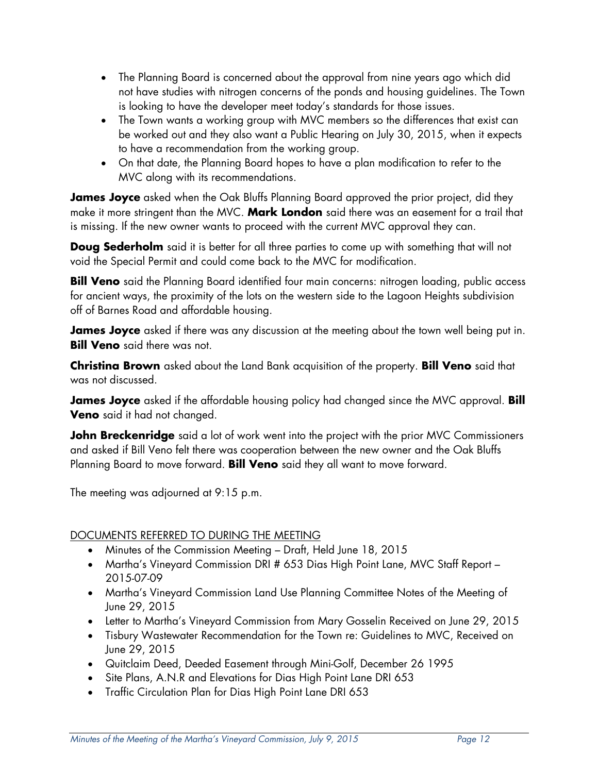- The Planning Board is concerned about the approval from nine years ago which did not have studies with nitrogen concerns of the ponds and housing guidelines. The Town is looking to have the developer meet today's standards for those issues.
- The Town wants a working group with MVC members so the differences that exist can be worked out and they also want a Public Hearing on July 30, 2015, when it expects to have a recommendation from the working group.
- On that date, the Planning Board hopes to have a plan modification to refer to the MVC along with its recommendations.

**James Joyce** asked when the Oak Bluffs Planning Board approved the prior project, did they make it more stringent than the MVC. **Mark London** said there was an easement for a trail that is missing. If the new owner wants to proceed with the current MVC approval they can.

**Doug Sederholm** said it is better for all three parties to come up with something that will not void the Special Permit and could come back to the MVC for modification.

**Bill Veno** said the Planning Board identified four main concerns: nitrogen loading, public access for ancient ways, the proximity of the lots on the western side to the Lagoon Heights subdivision off of Barnes Road and affordable housing.

**James Joyce** asked if there was any discussion at the meeting about the town well being put in. **Bill Veno** said there was not.

**Christina Brown** asked about the Land Bank acquisition of the property. **Bill Veno** said that was not discussed.

**James Joyce** asked if the affordable housing policy had changed since the MVC approval. **Bill Veno** said it had not changed.

**John Breckenridge** said a lot of work went into the project with the prior MVC Commissioners and asked if Bill Veno felt there was cooperation between the new owner and the Oak Bluffs Planning Board to move forward. **Bill Veno** said they all want to move forward.

The meeting was adjourned at 9:15 p.m.

### DOCUMENTS REFERRED TO DURING THE MEETING

- Minutes of the Commission Meeting Draft, Held June 18, 2015
- Martha's Vineyard Commission DRI # 653 Dias High Point Lane, MVC Staff Report -2015-07-09
- Martha's Vineyard Commission Land Use Planning Committee Notes of the Meeting of June 29, 2015
- Letter to Martha's Vineyard Commission from Mary Gosselin Received on June 29, 2015
- Tisbury Wastewater Recommendation for the Town re: Guidelines to MVC, Received on June 29, 2015
- Quitclaim Deed, Deeded Easement through Mini-Golf, December 26 1995
- Site Plans, A.N.R and Elevations for Dias High Point Lane DRI 653
- Traffic Circulation Plan for Dias High Point Lane DRI 653